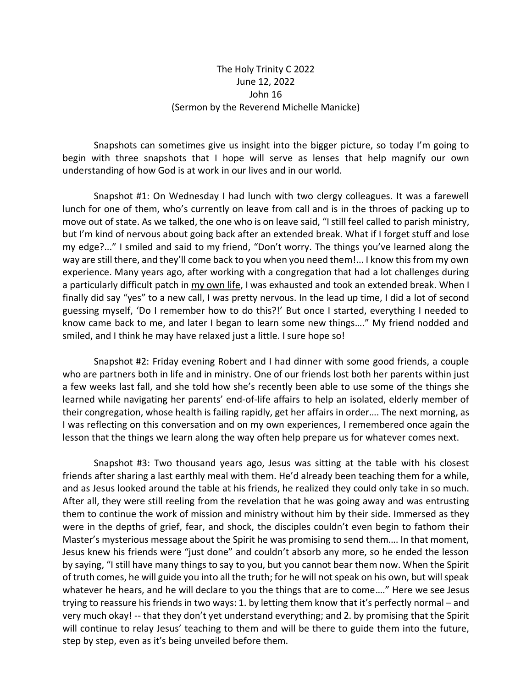## The Holy Trinity C 2022 June 12, 2022 John 16 (Sermon by the Reverend Michelle Manicke)

Snapshots can sometimes give us insight into the bigger picture, so today I'm going to begin with three snapshots that I hope will serve as lenses that help magnify our own understanding of how God is at work in our lives and in our world.

Snapshot #1: On Wednesday I had lunch with two clergy colleagues. It was a farewell lunch for one of them, who's currently on leave from call and is in the throes of packing up to move out of state. As we talked, the one who is on leave said, "Istill feel called to parish ministry, but I'm kind of nervous about going back after an extended break. What if I forget stuff and lose my edge?..." I smiled and said to my friend, "Don't worry. The things you've learned along the way are still there, and they'll come back to you when you need them!... I know this from my own experience. Many years ago, after working with a congregation that had a lot challenges during a particularly difficult patch in my own life, I was exhausted and took an extended break. When I finally did say "yes" to a new call, I was pretty nervous. In the lead up time, I did a lot of second guessing myself, 'Do I remember how to do this?!' But once I started, everything I needed to know came back to me, and later I began to learn some new things…." My friend nodded and smiled, and I think he may have relaxed just a little. I sure hope so!

Snapshot #2: Friday evening Robert and I had dinner with some good friends, a couple who are partners both in life and in ministry. One of our friends lost both her parents within just a few weeks last fall, and she told how she's recently been able to use some of the things she learned while navigating her parents' end-of-life affairs to help an isolated, elderly member of their congregation, whose health is failing rapidly, get her affairs in order…. The next morning, as I was reflecting on this conversation and on my own experiences, I remembered once again the lesson that the things we learn along the way often help prepare us for whatever comes next.

Snapshot #3: Two thousand years ago, Jesus was sitting at the table with his closest friends after sharing a last earthly meal with them. He'd already been teaching them for a while, and as Jesus looked around the table at his friends, he realized they could only take in so much. After all, they were still reeling from the revelation that he was going away and was entrusting them to continue the work of mission and ministry without him by their side. Immersed as they were in the depths of grief, fear, and shock, the disciples couldn't even begin to fathom their Master's mysterious message about the Spirit he was promising to send them…. In that moment, Jesus knew his friends were "just done" and couldn't absorb any more, so he ended the lesson by saying, "I still have many things to say to you, but you cannot bear them now. When the Spirit of truth comes, he will guide you into all the truth; for he will not speak on his own, but will speak whatever he hears, and he will declare to you the things that are to come...." Here we see Jesus trying to reassure his friends in two ways: 1. by letting them know that it's perfectly normal – and very much okay! -- that they don't yet understand everything; and 2. by promising that the Spirit will continue to relay Jesus' teaching to them and will be there to guide them into the future, step by step, even as it's being unveiled before them.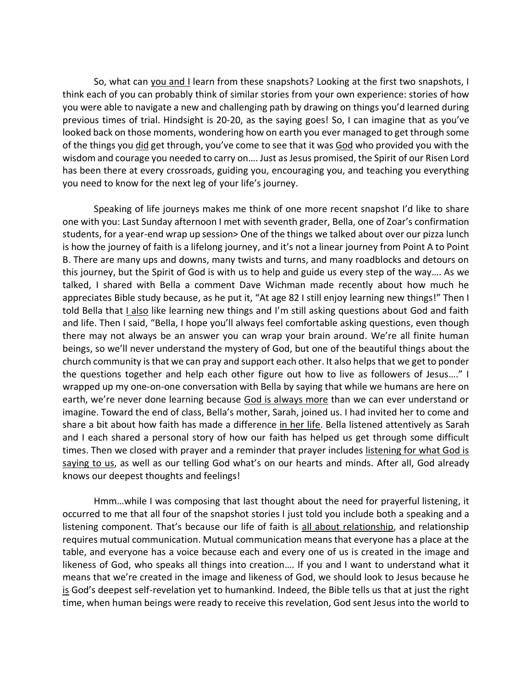So, what can you and I learn from these snapshots? Looking at the first two snapshots, I think each of you can probably think of similar stories from your own experience: stories of how you were able to navigate a new and challenging path by drawing on things you'd learned during previous times of trial. Hindsight is 20-20, as the saying goes! So, I can imagine that as you've looked back on those moments, wondering how on earth you ever managed to get through some of the things you did get through, you've come to see that it was God who provided you with the wisdom and courage you needed to carry on…. Just as Jesus promised, the Spirit of our Risen Lord has been there at every crossroads, guiding you, encouraging you, and teaching you everything you need to know for the next leg of your life's journey.

Speaking of life journeys makes me think of one more recent snapshot I'd like to share one with you: Last Sunday afternoon I met with seventh grader, Bella, one of Zoar's confirmation students, for a year-end wrap up session> One of the things we talked about over our pizza lunch is how the journey of faith is a lifelong journey, and it's not a linear journey from Point A to Point B. There are many ups and downs, many twists and turns, and many roadblocks and detours on this journey, but the Spirit of God is with us to help and guide us every step of the way…. As we talked, I shared with Bella a comment Dave Wichman made recently about how much he appreciates Bible study because, as he put it, "At age 82 I still enjoy learning new things!" Then I told Bella that I also like learning new things and I'm still asking questions about God and faith and life. Then I said, "Bella, I hope you'll always feel comfortable asking questions, even though there may not always be an answer you can wrap your brain around. We're all finite human beings, so we'll never understand the mystery of God, but one of the beautiful things about the church community is that we can pray and support each other. It also helps that we get to ponder the questions together and help each other figure out how to live as followers of Jesus…." I wrapped up my one-on-one conversation with Bella by saying that while we humans are here on earth, we're never done learning because God is always more than we can ever understand or imagine. Toward the end of class, Bella's mother, Sarah, joined us. I had invited her to come and share a bit about how faith has made a difference in her life. Bella listened attentively as Sarah and I each shared a personal story of how our faith has helped us get through some difficult times. Then we closed with prayer and a reminder that prayer includes listening for what God is saying to us, as well as our telling God what's on our hearts and minds. After all, God already knows our deepest thoughts and feelings!

Hmm…while I was composing that last thought about the need for prayerful listening, it occurred to me that all four of the snapshot stories I just told you include both a speaking and a listening component. That's because our life of faith is all about relationship, and relationship requires mutual communication. Mutual communication means that everyone has a place at the table, and everyone has a voice because each and every one of us is created in the image and likeness of God, who speaks all things into creation…. If you and I want to understand what it means that we're created in the image and likeness of God, we should look to Jesus because he is God's deepest self-revelation yet to humankind. Indeed, the Bible tells us that at just the right time, when human beings were ready to receive this revelation, God sent Jesus into the world to